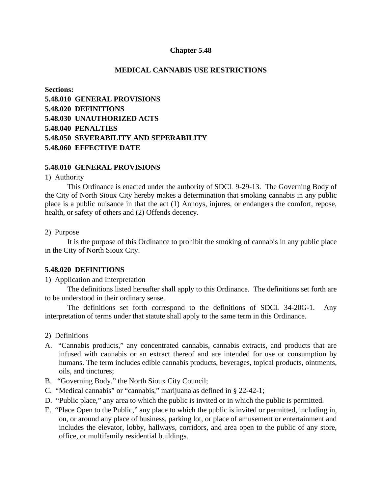## **Chapter 5.48**

### **MEDICAL CANNABIS USE RESTRICTIONS**

**Sections: 5.48.010 GENERAL PROVISIONS 5.48.020 DEFINITIONS 5.48.030 UNAUTHORIZED ACTS 5.48.040 PENALTIES 5.48.050 SEVERABILITY AND SEPERABILITY 5.48.060 EFFECTIVE DATE**

### **5.48.010 GENERAL PROVISIONS**

1) Authority

This Ordinance is enacted under the authority of SDCL 9-29-13. The Governing Body of the City of North Sioux City hereby makes a determination that smoking cannabis in any public place is a public nuisance in that the act (1) Annoys, injures, or endangers the comfort, repose, health, or safety of others and (2) Offends decency.

#### 2) Purpose

It is the purpose of this Ordinance to prohibit the smoking of cannabis in any public place in the City of North Sioux City.

### **5.48.020 DEFINITIONS**

1) Application and Interpretation

The definitions listed hereafter shall apply to this Ordinance. The definitions set forth are to be understood in their ordinary sense.

The definitions set forth correspond to the definitions of SDCL 34-20G-1. Any interpretation of terms under that statute shall apply to the same term in this Ordinance.

- 2) Definitions
- A. "Cannabis products," any concentrated cannabis, cannabis extracts, and products that are infused with cannabis or an extract thereof and are intended for use or consumption by humans. The term includes edible cannabis products, beverages, topical products, ointments, oils, and tinctures;
- B. "Governing Body," the North Sioux City Council;
- C. "Medical cannabis" or "cannabis," marijuana as defined in § 22-42-1;
- D. "Public place," any area to which the public is invited or in which the public is permitted.
- E. "Place Open to the Public," any place to which the public is invited or permitted, including in, on, or around any place of business, parking lot, or place of amusement or entertainment and includes the elevator, lobby, hallways, corridors, and area open to the public of any store, office, or multifamily residential buildings.